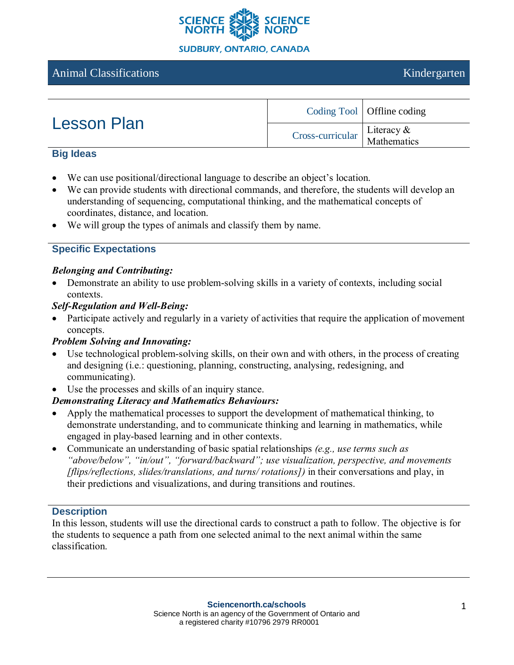

# Animal Classifications and the contractions and the contractions of the contractions of the contractions of the contractions of the contractions of the contractions of the contractions of the contractions of the contractio

| <b>Lesson Plan</b> |                                              | Coding Tool   Offline coding |
|--------------------|----------------------------------------------|------------------------------|
|                    | $Cross-curricular$ Literacy &<br>Mathematics |                              |

#### **Big Ideas**

- We can use positional/directional language to describe an object's location.
- We can provide students with directional commands, and therefore, the students will develop an understanding of sequencing, computational thinking, and the mathematical concepts of coordinates, distance, and location.
- We will group the types of animals and classify them by name.

## **Specific Expectations**

#### *Belonging and Contributing:*

- Demonstrate an ability to use problem-solving skills in a variety of contexts, including social contexts.
- *Self-Regulation and Well-Being:*
- Participate actively and regularly in a variety of activities that require the application of movement concepts.

## *Problem Solving and Innovating:*

- Use technological problem-solving skills, on their own and with others, in the process of creating and designing (i.e.: questioning, planning, constructing, analysing, redesigning, and communicating).
- Use the processes and skills of an inquiry stance.

## *Demonstrating Literacy and Mathematics Behaviours:*

- Apply the mathematical processes to support the development of mathematical thinking, to demonstrate understanding, and to communicate thinking and learning in mathematics, while engaged in play-based learning and in other contexts.
- Communicate an understanding of basic spatial relationships *(e.g., use terms such as "above/below", "in/out", "forward/backward"; use visualization, perspective, and movements [flips/reflections, slides/translations, and turns/ rotations])* in their conversations and play, in their predictions and visualizations, and during transitions and routines.

#### **Description**

In this lesson, students will use the directional cards to construct a path to follow. The objective is for the students to sequence a path from one selected animal to the next animal within the same classification.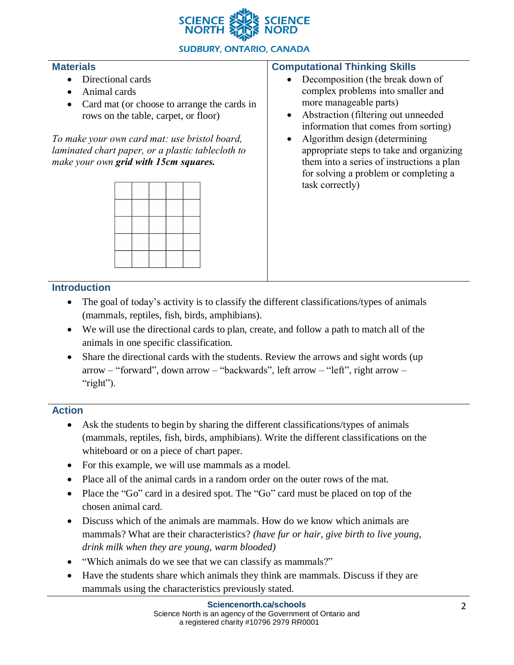

## **SUDBURY, ONTARIO, CANADA**

#### **Materials**

- Directional cards
- Animal cards
- Card mat (or choose to arrange the cards in rows on the table, carpet, or floor)

*To make your own card mat: use bristol board, laminated chart paper, or a plastic tablecloth to make your own grid with 15cm squares.*



### **Computational Thinking Skills**

- Decomposition (the break down of complex problems into smaller and more manageable parts)
- Abstraction (filtering out unneeded information that comes from sorting)
- Algorithm design (determining appropriate steps to take and organizing them into a series of instructions a plan for solving a problem or completing a task correctly)

## **Introduction**

- The goal of today's activity is to classify the different classifications/types of animals (mammals, reptiles, fish, birds, amphibians).
- We will use the directional cards to plan, create, and follow a path to match all of the animals in one specific classification.
- Share the directional cards with the students. Review the arrows and sight words (up arrow – "forward", down arrow – "backwards", left arrow – "left", right arrow – "right").

## **Action**

- Ask the students to begin by sharing the different classifications/types of animals (mammals, reptiles, fish, birds, amphibians). Write the different classifications on the whiteboard or on a piece of chart paper.
- For this example, we will use mammals as a model.
- Place all of the animal cards in a random order on the outer rows of the mat.
- Place the "Go" card in a desired spot. The "Go" card must be placed on top of the chosen animal card.
- Discuss which of the animals are mammals. How do we know which animals are mammals? What are their characteristics? *(have fur or hair, give birth to live young, drink milk when they are young, warm blooded)*
- "Which animals do we see that we can classify as mammals?"
- Have the students share which animals they think are mammals. Discuss if they are mammals using the characteristics previously stated.